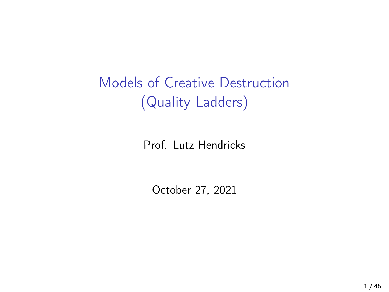<span id="page-0-0"></span>Models of Creative Destruction (Quality Ladders)

Prof. Lutz Hendricks

October 27, 2021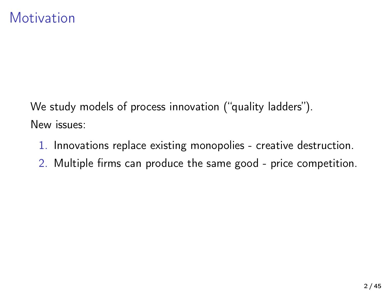We study models of process innovation ("quality ladders"). New issues:

- 1. Innovations replace existing monopolies creative destruction.
- 2. Multiple firms can produce the same good price competition.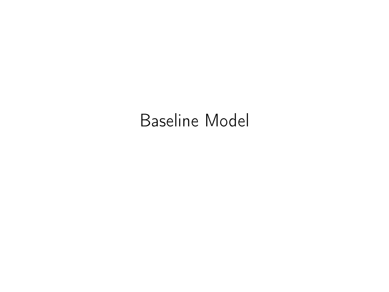# Baseline Model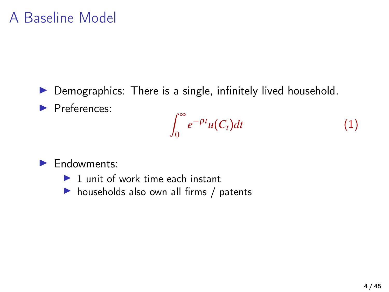### A Baseline Model

- $\triangleright$  Demographics: There is a single, infinitely lived household.
- **Preferences:**

$$
\int_0^\infty e^{-\rho t} u(C_t) dt \tag{1}
$$

- $\blacktriangleright$  Endowments:
	- $\blacktriangleright$  1 unit of work time each instant
	- $\blacktriangleright$  households also own all firms / patents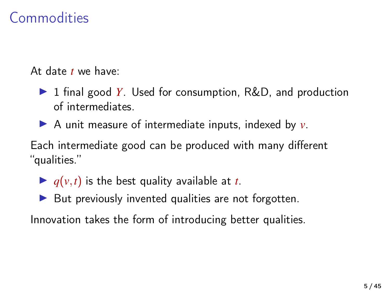### **Commodities**

At date *t* we have:

- ▶ 1 final good *Y*. Used for consumption, R&D, and production of intermediates.
- $\triangleright$  A unit measure of intermediate inputs, indexed by  $v$ .

Each intermediate good can be produced with many different "qualities."

- $\blacktriangleright$   $q(v,t)$  is the best quality available at *t*.
- $\blacktriangleright$  But previously invented qualities are not forgotten.

Innovation takes the form of introducing better qualities.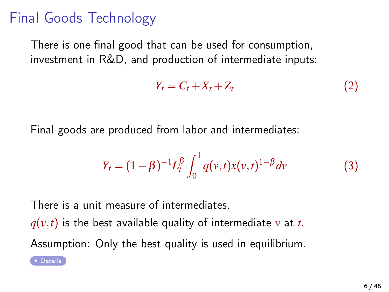### Final Goods Technology

There is one final good that can be used for consumption, investment in R&D, and production of intermediate inputs:

$$
Y_t = C_t + X_t + Z_t \tag{2}
$$

Final goods are produced from labor and intermediates:

$$
Y_t = (1 - \beta)^{-1} L_t^{\beta} \int_0^1 q(v, t) x(v, t)^{1 - \beta} dv \tag{3}
$$

There is a unit measure of intermediates.  $q(v,t)$  is the best available quality of intermediate v at t. Assumption: Only the best quality is used in equilibrium.

▶ [Details](#page-39-0)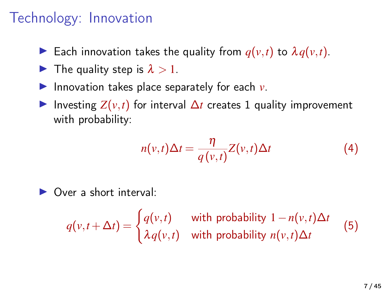### Technology: Innovation

- Each innovation takes the quality from  $q(v,t)$  to  $\lambda q(v,t)$ .
- $\blacktriangleright$  The quality step is  $\lambda > 1$ .
- Innovation takes place separately for each  $v$ .
- $\triangleright$  Investing  $Z(v,t)$  for interval  $\Delta t$  creates 1 quality improvement with probability:

$$
n(v,t)\Delta t = \frac{\eta}{q(v,t)}Z(v,t)\Delta t
$$
 (4)

 $\triangleright$  Over a short interval:

 $q(v,t+\Delta t) = \begin{cases} q(v,t) & \text{with probability } 1-n(v,t)\Delta t \\ 0 & \text{otherwise} \end{cases}$  $\lambda$ *q*(*v*,*t*) with probability *n*(*v*,*t*)∆*t* (5)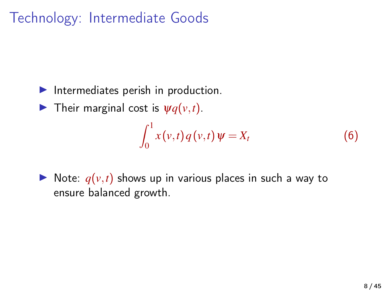### Technology: Intermediate Goods

- $\blacktriangleright$  Intermediates perish in production.
- **I** Their marginal cost is  $\psi q(v,t)$ .

$$
\int_0^1 x(v,t) q(v,t) \psi = X_t \tag{6}
$$

 $\triangleright$  Note:  $q(v,t)$  shows up in various places in such a way to ensure balanced growth.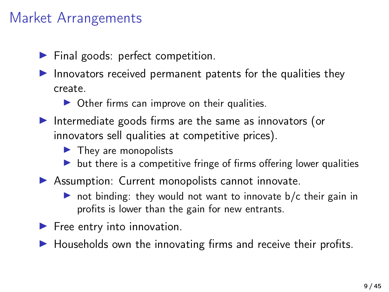### Market Arrangements

- $\blacktriangleright$  Final goods: perfect competition.
- Innovators received permanent patents for the qualities they create.
	- $\triangleright$  Other firms can improve on their qualities.
- Intermediate goods firms are the same as innovators (or innovators sell qualities at competitive prices).
	- $\blacktriangleright$  They are monopolists
	- $\blacktriangleright$  but there is a competitive fringe of firms offering lower qualities
- $\triangleright$  Assumption: Current monopolists cannot innovate.
	- $\triangleright$  not binding: they would not want to innovate b/c their gain in profits is lower than the gain for new entrants.
- $\blacktriangleright$  Free entry into innovation.
- $\blacktriangleright$  Households own the innovating firms and receive their profits.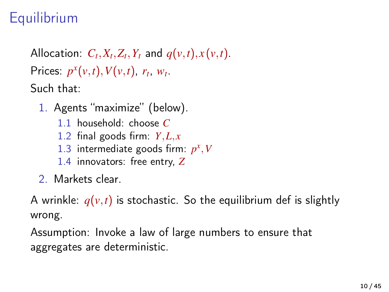## **Equilibrium**

Allocation:  $C_t$ ,  $X_t$ ,  $Z_t$ ,  $Y_t$  and  $q(v, t)$ ,  $x(v, t)$ . Prices:  $p^x(v,t)$ ,  $V(v,t)$ ,  $r_t$ ,  $w_t$ . Such that:

- 1. Agents "maximize" (below).
	- 1.1 household: choose *C*
	- 1.2 final goods firm: *Y*,*L*, *x*
	- 1.3 intermediate goods firm:  $p^x$ , V
	- 1.4 innovators: free entry, *Z*
- 2. Markets clear.

A wrinkle:  $q(v,t)$  is stochastic. So the equilibrium def is slightly wrong.

Assumption: Invoke a law of large numbers to ensure that aggregates are deterministic.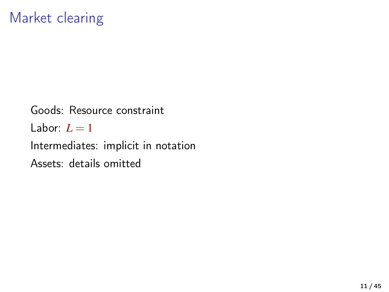Goods: Resource constraint Labor:  $L = 1$ Intermediates: implicit in notation Assets: details omitted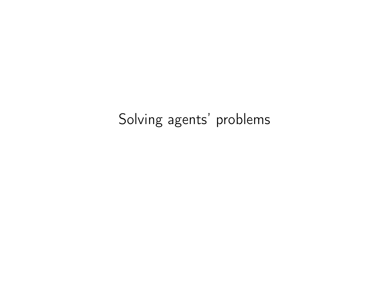### Solving agents' problems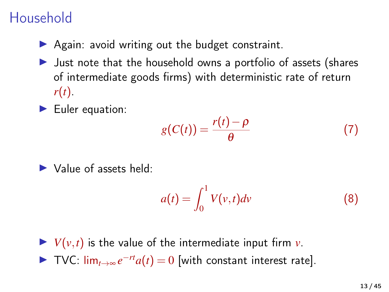## Household

- $\triangleright$  Again: avoid writing out the budget constraint.
- $\blacktriangleright$  Just note that the household owns a portfolio of assets (shares of intermediate goods firms) with deterministic rate of return *r*(*t*).
- $\blacktriangleright$  Euler equation:

$$
g(C(t)) = \frac{r(t) - \rho}{\theta} \tag{7}
$$

 $\blacktriangleright$  Value of assets held:

$$
a(t) = \int_0^1 V(v, t) dv
$$
 (8)

 $\blacktriangleright$  *V*(*v*,*t*) is the value of the intermediate input firm *v*. ▶ TVC:  $\lim_{t\to\infty}e^{-rt}a(t)=0$  [with constant interest rate].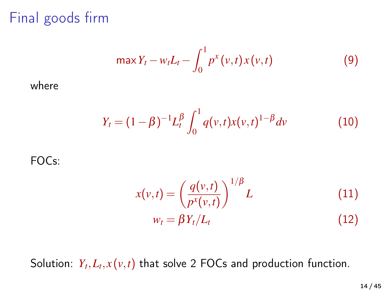Final goods firm

$$
\max Y_t - w_t L_t - \int_0^1 p^x(v, t) x(v, t)
$$
 (9)

where

$$
Y_t = (1 - \beta)^{-1} L_t^{\beta} \int_0^1 q(v, t) x(v, t)^{1 - \beta} dv \qquad (10)
$$

FOCs:

$$
x(v,t) = \left(\frac{q(v,t)}{p^x(v,t)}\right)^{1/\beta} L
$$
 (11)  

$$
w_t = \beta Y_t/L_t
$$
 (12)

Solution:  $Y_t, L_t, x(v, t)$  that solve 2 FOCs and production function.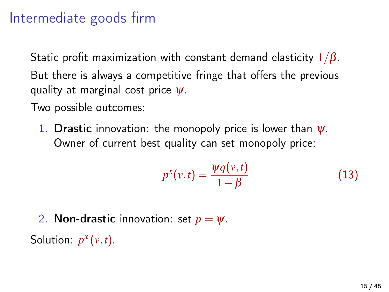### Intermediate goods firm

Static profit maximization with constant demand elasticity  $1/\beta$ . But there is always a competitive fringe that offers the previous quality at marginal cost price  $\psi$ .

Two possible outcomes:

1. Drastic innovation: the monopoly price is lower than  $\psi$ . Owner of current best quality can set monopoly price:

$$
p^{x}(v,t) = \frac{\psi q(v,t)}{1-\beta} \tag{13}
$$

2. **Non-drastic** innovation: set  $p = \psi$ .

Solution:  $p^x(v,t)$ .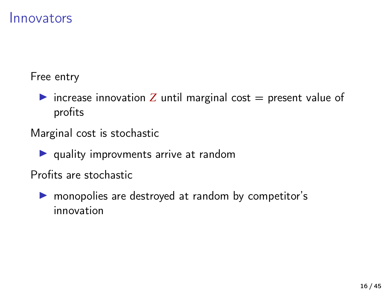#### Innovators

Free entry

increase innovation *Z* until marginal cost  $=$  present value of profits

Marginal cost is stochastic

 $\blacktriangleright$  quality improvments arrive at random

Profits are stochastic

 $\triangleright$  monopolies are destroyed at random by competitor's innovation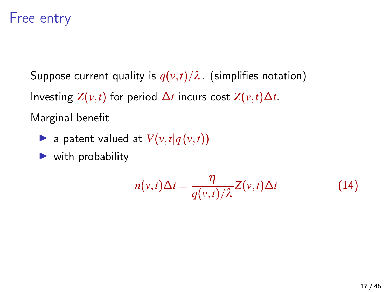#### Free entry

Suppose current quality is  $q(v,t)/\lambda$ . (simplifies notation) Investing  $Z(v,t)$  for period  $\Delta t$  incurs cost  $Z(v,t)\Delta t$ . Marginal benefit

- $\blacktriangleright$  a patent valued at  $V(v,t|q(v,t))$
- $\blacktriangleright$  with probability

$$
n(v,t)\Delta t = \frac{\eta}{q(v,t)/\lambda}Z(v,t)\Delta t
$$
 (14)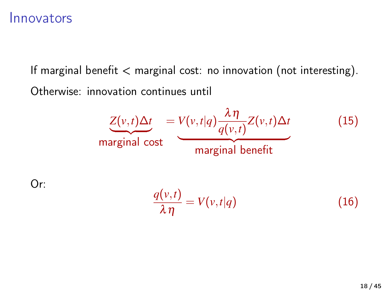#### Innovators

If marginal benefit < marginal cost: no innovation (not interesting). Otherwise: innovation continues until

$$
\underbrace{Z(v,t)\Delta t}_{\text{marginal cost}} = \underbrace{V(v,t|q)\frac{\lambda\eta}{q(v,t)}Z(v,t)\Delta t}_{\text{marginal benefit}} \tag{15}
$$

Or:

$$
\frac{q(v,t)}{\lambda \eta} = V(v,t|q) \tag{16}
$$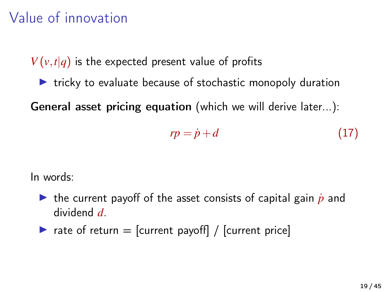### Value of innovation

 $V(v,t|q)$  is the expected present value of profits

 $\triangleright$  tricky to evaluate because of stochastic monopoly duration

General asset pricing equation (which we will derive later...):

$$
rp = \dot{p} + d \tag{17}
$$

In words:

- If the current payoff of the asset consists of capital gain  $\dot{p}$  and dividend *d*.
- rate of return  $=$  [current payoff] / [current price]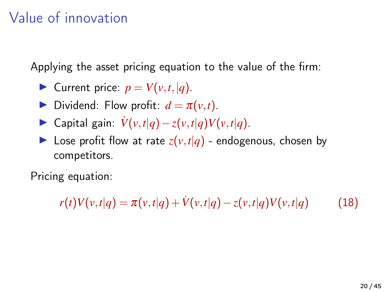### Value of innovation

Applying the asset pricing equation to the value of the firm:

- $\blacktriangleright$  Current price:  $p = V(v,t, |q)$ .
- **Dividend:** Flow profit:  $d = \pi(v,t)$ .
- $\triangleright$  Capital gain:  $\dot{V}(v,t|q) z(v,t|q)V(v,t|q)$ .
- $\blacktriangleright$  Lose profit flow at rate  $z(v,t|q)$  endogenous, chosen by competitors.

Pricing equation:

 $r(t)V(v,t|q) = \pi(v,t|q) + V(v,t|q) - z(v,t|q)V(v,t|q)$  (18)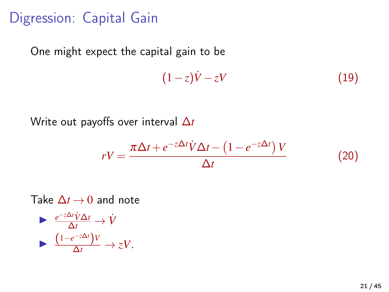### Digression: Capital Gain

One might expect the capital gain to be

$$
(1-z)\dot{V}-zV\tag{19}
$$

Write out payoffs over interval ∆*t*

$$
rV = \frac{\pi \Delta t + e^{-z\Delta t} \dot{V} \Delta t - \left(1 - e^{-z\Delta t}\right) V}{\Delta t}
$$
(20)

Take  $\Delta t \rightarrow 0$  and note

$$
\begin{array}{ll}\n\blacktriangleright & \frac{e^{-z\Delta t}\dot{V}\Delta t}{\Delta t} \rightarrow \dot{V} \\
\blacktriangleright & \frac{(1-e^{-z\Delta t})V}{\Delta t} \rightarrow zV.\n\end{array}
$$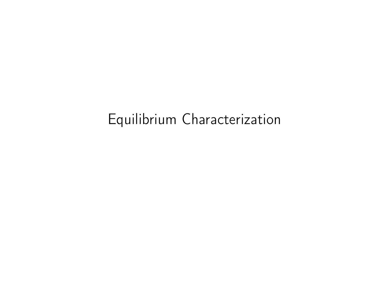# Equilibrium Characterization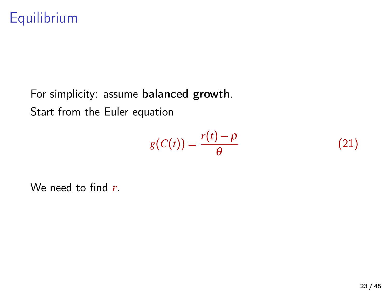For simplicity: assume balanced growth. Start from the Euler equation

$$
g(C(t)) = \frac{r(t) - \rho}{\theta} \tag{21}
$$

We need to find *r*.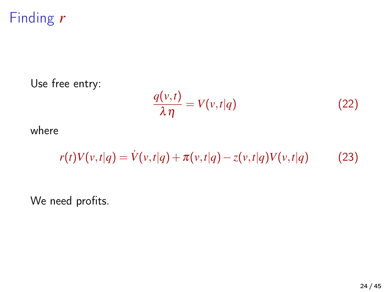# Finding *r*

#### Use free entry:

$$
\frac{q(v,t)}{\lambda \eta} = V(v,t|q) \tag{22}
$$

where

$$
r(t)V(v,t|q) = V(v,t|q) + \pi(v,t|q) - z(v,t|q)V(v,t|q)
$$
 (23)

We need profits.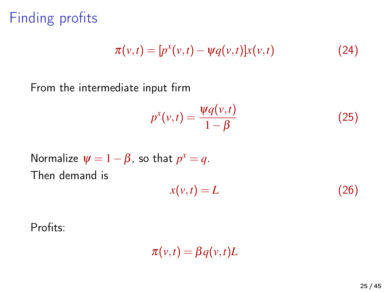Finding profits

$$
\pi(v,t) = [p^x(v,t) - \psi q(v,t)]x(v,t)
$$
\n(24)

From the intermediate input firm

$$
p^{x}(v,t) = \frac{\psi q(v,t)}{1-\beta} \tag{25}
$$

Normalize 
$$
\psi = 1 - \beta
$$
, so that  $p^x = q$ .  
Then demand is

$$
x(v,t) = L \tag{26}
$$

Profits:

 $\pi(v,t) = \beta q(v,t)L$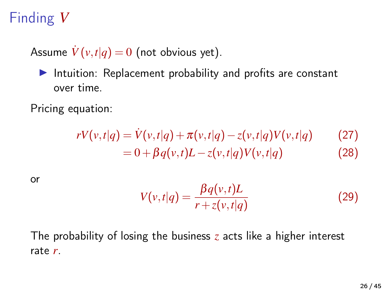# Finding *V*

Assume  $\dot{V}(v,t|q) = 0$  (not obvious yet).

Intuition: Replacement probability and profits are constant over time.

Pricing equation:

$$
rV(v,t|q) = V(v,t|q) + \pi(v,t|q) - z(v,t|q)V(v,t|q)
$$
\n
$$
= 0 + \beta q(v,t)L - z(v,t|q)V(v,t|q)
$$
\n(28)

or

$$
V(v,t|q) = \frac{\beta q(v,t)L}{r + z(v,t|q)}
$$
\n(29)

The probability of losing the business *z* acts like a higher interest rate *r*.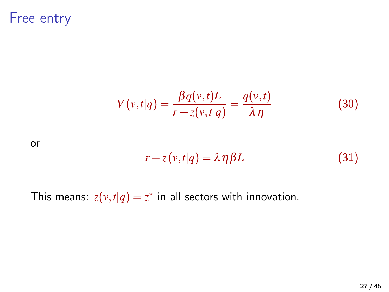Free entry

$$
V(v,t|q) = \frac{\beta q(v,t)L}{r + z(v,t|q)} = \frac{q(v,t)}{\lambda \eta}
$$
 (30)

or

$$
r + z(v,t|q) = \lambda \eta \beta L \tag{31}
$$

This means:  $z(v,t|q) = z^*$  in all sectors with innovation.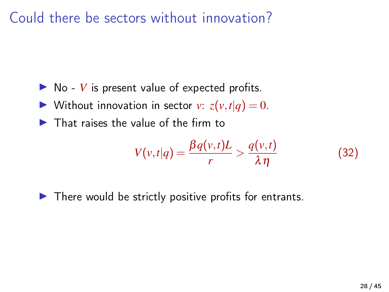Could there be sectors without innovation?

- $\triangleright$  No *V* is present value of expected profits.
- $\blacktriangleright$  Without innovation in sector *v*:  $z(v,t|q) = 0$ .
- $\blacktriangleright$  That raises the value of the firm to

$$
V(v,t|q) = \frac{\beta q(v,t)L}{r} > \frac{q(v,t)}{\lambda \eta}
$$
 (32)

 $\blacktriangleright$  There would be strictly positive profits for entrants.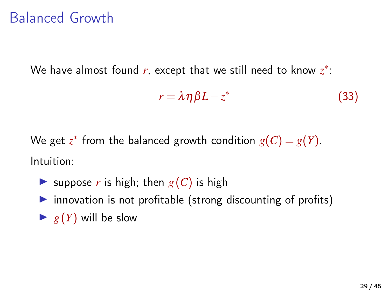### Balanced Growth

We have almost found *r*, except that we still need to know *z* ∗ :

$$
r = \lambda \eta \beta L - z^* \tag{33}
$$

We get  $z^*$  from the balanced growth condition  $g(C) = g(Y)$ . Intuition:

- **Example 5** suppose *r* is high; then  $g(C)$  is high
- $\triangleright$  innovation is not profitable (strong discounting of profits)
- $\blacktriangleright$  *g(Y)* will be slow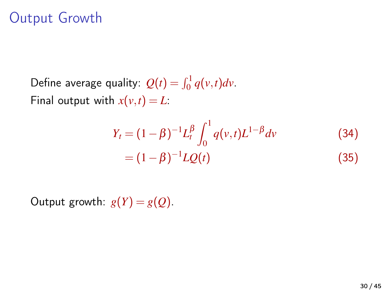### Output Growth

Define average quality:  $Q(t) = \int_0^1 q(v, t) dv$ . Final output with  $x(v,t) = L$ :

$$
Y_t = (1 - \beta)^{-1} L_t^{\beta} \int_0^1 q(v, t) L^{1-\beta} dv
$$
 (34)  
=  $(1 - \beta)^{-1} LQ(t)$  (35)

Output growth:  $g(Y) = g(Q)$ .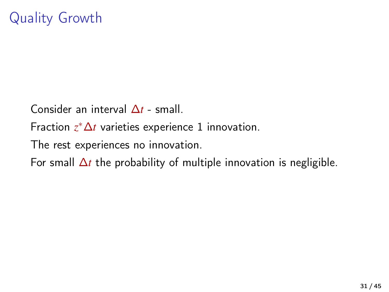Consider an interval ∆*t* - small.

Fraction *z* <sup>∗</sup>∆*t* varieties experience 1 innovation.

The rest experiences no innovation.

For small ∆*t* the probability of multiple innovation is negligible.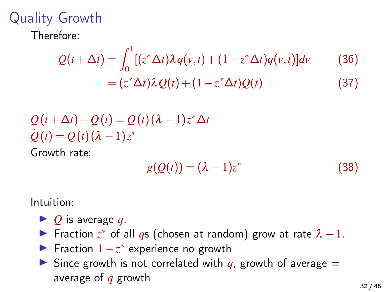# Quality Growth

Therefore:

$$
Q(t + \Delta t) = \int_0^1 \left[ (z^* \Delta t) \lambda q(v, t) + (1 - z^* \Delta t) q(v, t) \right] dv \qquad (36)
$$

$$
= (z^* \Delta t) \lambda Q(t) + (1 - z^* \Delta t) Q(t) \qquad (37)
$$

$$
Q(t+\Delta t) - Q(t) = Q(t) (\lambda - 1) z^* \Delta t
$$
  

$$
Q(t) = Q(t) (\lambda - 1) z^*
$$

Growth rate:

$$
g(Q(t)) = (\lambda - 1)z^*
$$
\n(38)

Intuition:

- $\triangleright$  *Q* is average *q*.
- ► Fraction  $z^*$  of all *q*s (chosen at random) grow at rate  $\lambda 1$ .
- ► Fraction  $1-z^*$  experience no growth
- $\triangleright$  Since growth is not correlated with *q*, growth of average = average of *q* growth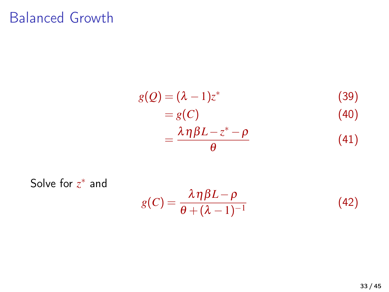### Balanced Growth

$$
g(Q) = (\lambda - 1)z^*
$$
(39)  
= g(C)  
= 
$$
\frac{\lambda \eta \beta L - z^* - \rho}{\theta}
$$
(41)

Solve for  $z^*$  and

$$
g(C) = \frac{\lambda \eta \beta L - \rho}{\theta + (\lambda - 1)^{-1}}
$$
(42)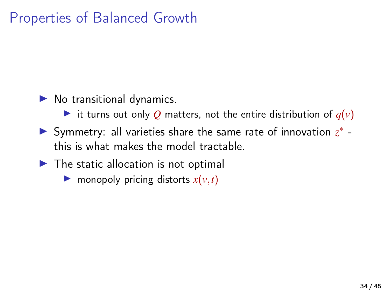### Properties of Balanced Growth

- $\blacktriangleright$  No transitional dynamics.
	- it turns out only Q matters, not the entire distribution of  $q(v)$
- ► Symmetry: all varieties share the same rate of innovation  $z^*$  this is what makes the model tractable.
- $\blacktriangleright$  The static allocation is not optimal
	- $\triangleright$  monopoly pricing distorts  $x(v, t)$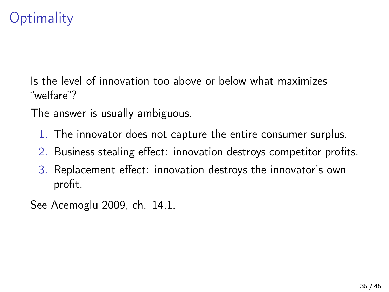# **Optimality**

Is the level of innovation too above or below what maximizes "welfare"?

The answer is usually ambiguous.

- 1. The innovator does not capture the entire consumer surplus.
- 2. Business stealing effect: innovation destroys competitor profits.
- 3. Replacement effect: innovation destroys the innovator's own profit.

See [Acemoglu 2009,](#page-42-0) ch. 14.1.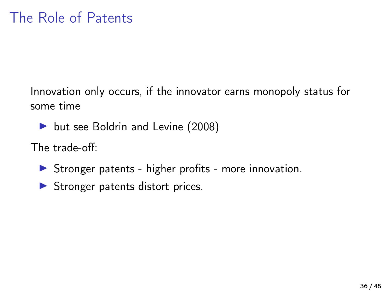Innovation only occurs, if the innovator earns monopoly status for some time

▶ but see [Boldrin and Levine \(2008\)](#page-43-0)

The trade-off:

- $\triangleright$  Stronger patents higher profits more innovation.
- $\blacktriangleright$  Stronger patents distort prices.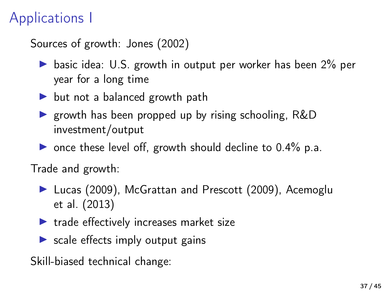# Applications I

Sources of growth: [Jones \(2002\)](#page-43-1)

- $\triangleright$  basic idea: U.S. growth in output per worker has been 2% per year for a long time
- $\triangleright$  but not a balanced growth path
- **If** growth has been propped up by rising schooling,  $R&D$ investment/output
- $\triangleright$  once these level off, growth should decline to 0.4% p.a.

Trade and growth:

- ▶ [Lucas \(2009\)](#page-43-2), [McGrattan and Prescott \(2009\)](#page-44-0), [Acemoglu](#page-42-1) [et al. \(2013\)](#page-42-1)
- $\blacktriangleright$  trade effectively increases market size
- $\triangleright$  scale effects imply output gains

Skill-biased technical change: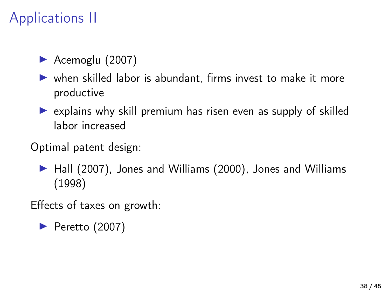# Applications II

- $\blacktriangleright$  [Acemoglu \(2007\)](#page-42-2)
- $\triangleright$  when skilled labor is abundant, firms invest to make it more productive
- $\triangleright$  explains why skill premium has risen even as supply of skilled labor increased
- Optimal patent design:
	- ▶ [Hall \(2007\)](#page-43-3), [Jones and Williams \(2000\)](#page-43-4), [Jones and Williams](#page-43-5) [\(1998\)](#page-43-5)

Effects of taxes on growth:

 $\blacktriangleright$  [Peretto \(2007\)](#page-44-1)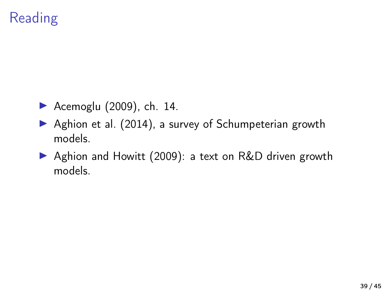# **Reading**

- $\blacktriangleright$  [Acemoglu \(2009\)](#page-42-0), ch. 14.
- $\triangleright$  [Aghion et al. \(2014\)](#page-42-3), a survey of Schumpeterian growth models.
- ▶ [Aghion and Howitt \(2009\)](#page-42-4): a text on R&D driven growth models.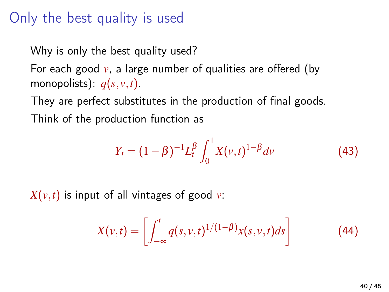### Only the best quality is used

Why is only the best quality used?

For each good  $v$ , a large number of qualities are offered (by monopolists):  $q(s, v, t)$ .

They are perfect substitutes in the production of final goods. Think of the production function as

<span id="page-39-0"></span>
$$
Y_t = (1 - \beta)^{-1} L_t^{\beta} \int_0^1 X(v, t)^{1 - \beta} dv \tag{43}
$$

 $X(v,t)$  is input of all vintages of good *v*:

$$
X(v,t) = \left[\int_{-\infty}^{t} q(s,v,t)^{1/(1-\beta)}x(s,v,t)ds\right]
$$
 (44)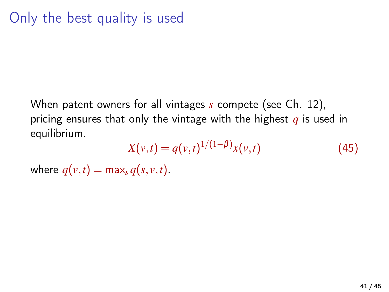When patent owners for all vintages *s* compete (see Ch. 12), pricing ensures that only the vintage with the highest *q* is used in equilibrium.

$$
X(v,t) = q(v,t)^{1/(1-\beta)}x(v,t)
$$
 (45)

where  $q(v,t) = \max_{s} q(s, v, t)$ .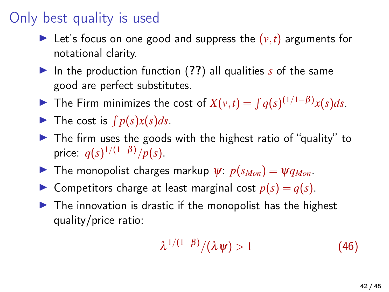### Only best quality is used

- Exectled Let's focus on one good and suppress the  $(v, t)$  arguments for notational clarity.
- I In the production function ([??](#page-0-0)) all qualities *s* of the same good are perfect substitutes.
- ▶ The Firm minimizes the cost of  $X(v,t) = \int q(s)^{(1/1-\beta)}x(s)ds$ .
- $\blacktriangleright$  The cost is  $\int p(s)x(s)ds$ .
- $\triangleright$  The firm uses the goods with the highest ratio of "quality" to price:  $q(s)^{1/(1-\beta)}/p(s)$ .
- **I** The monopolist charges markup  $\psi$ :  $p(s_{Mon}) = \psi q_{Mon}$ .
- **If** Competitors charge at least marginal cost  $p(s) = q(s)$ .
- $\triangleright$  The innovation is drastic if the monopolist has the highest quality/price ratio:

$$
\lambda^{1/(1-\beta)}/(\lambda \psi) > 1 \tag{46}
$$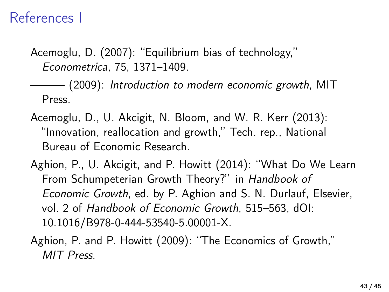### References I

<span id="page-42-2"></span>Acemoglu, D. (2007): "Equilibrium bias of technology," Econometrica, 75, 1371–1409.

<span id="page-42-0"></span>——— (2009): Introduction to modern economic growth, MIT Press.

- <span id="page-42-1"></span>Acemoglu, D., U. Akcigit, N. Bloom, and W. R. Kerr (2013): "Innovation, reallocation and growth," Tech. rep., National Bureau of Economic Research.
- <span id="page-42-3"></span>Aghion, P., U. Akcigit, and P. Howitt (2014): "What Do We Learn From Schumpeterian Growth Theory?" in Handbook of Economic Growth, ed. by P. Aghion and S. N. Durlauf, Elsevier, vol. 2 of Handbook of Economic Growth, 515–563, dOI: 10.1016/B978-0-444-53540-5.00001-X.
- <span id="page-42-4"></span>Aghion, P. and P. Howitt (2009): "The Economics of Growth," MIT Press.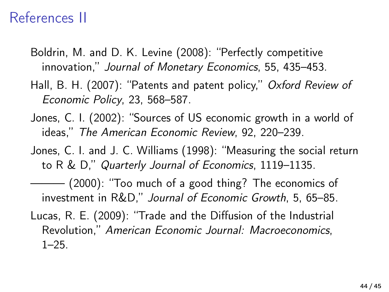### References II

- <span id="page-43-0"></span>Boldrin, M. and D. K. Levine (2008): "Perfectly competitive innovation," Journal of Monetary Economics, 55, 435–453.
- <span id="page-43-3"></span>Hall, B. H. (2007): "Patents and patent policy," Oxford Review of Economic Policy, 23, 568–587.
- <span id="page-43-1"></span>Jones, C. I. (2002): "Sources of US economic growth in a world of ideas," The American Economic Review, 92, 220–239.
- <span id="page-43-5"></span>Jones, C. I. and J. C. Williams (1998): "Measuring the social return to R & D," Quarterly Journal of Economics, 1119–1135.
- <span id="page-43-4"></span>——— (2000): "Too much of a good thing? The economics of investment in R&D," Journal of Economic Growth, 5, 65–85.
- <span id="page-43-2"></span>Lucas, R. E. (2009): "Trade and the Diffusion of the Industrial Revolution," American Economic Journal: Macroeconomics,  $1 - 25$ .